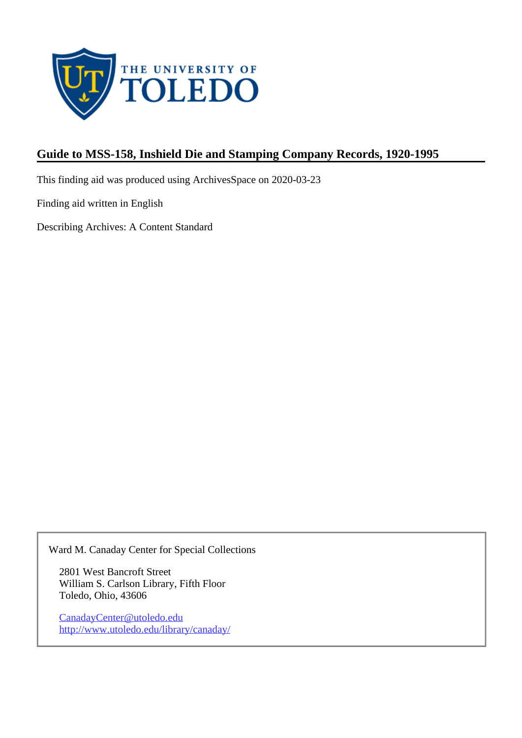

# **Guide to MSS-158, Inshield Die and Stamping Company Records, 1920-1995**

This finding aid was produced using ArchivesSpace on 2020-03-23

Finding aid written in English

Describing Archives: A Content Standard

Ward M. Canaday Center for Special Collections

2801 West Bancroft Street William S. Carlson Library, Fifth Floor Toledo, Ohio, 43606

CanadayCenter@utoledo.edu <http://www.utoledo.edu/library/canaday/>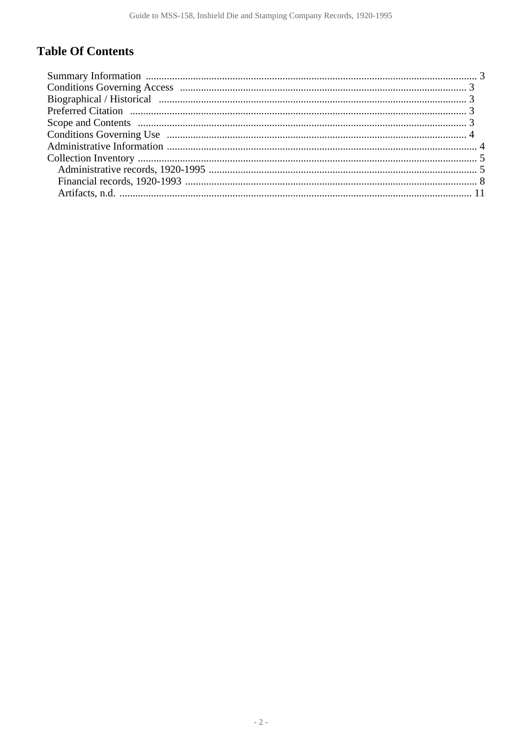# **Table Of Contents**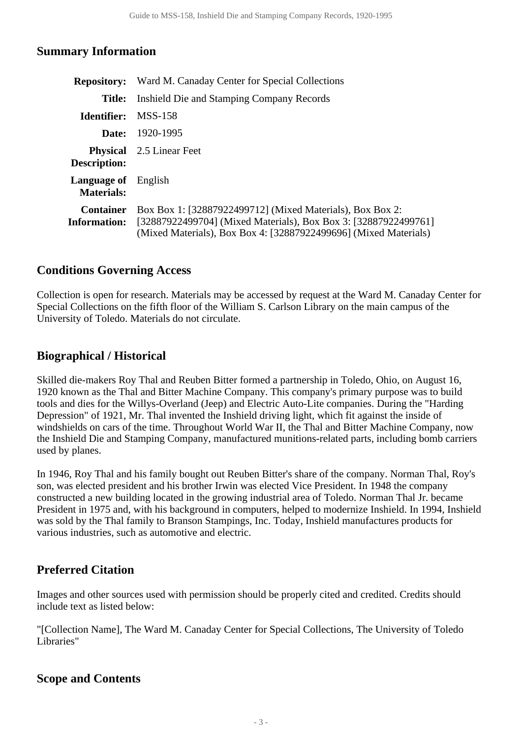#### <span id="page-2-0"></span>**Summary Information**

| <b>Repository:</b>                       | Ward M. Canaday Center for Special Collections                                                                                                                                                   |  |  |  |
|------------------------------------------|--------------------------------------------------------------------------------------------------------------------------------------------------------------------------------------------------|--|--|--|
| Title:                                   | Inshield Die and Stamping Company Records                                                                                                                                                        |  |  |  |
| Identifier:                              | MSS-158                                                                                                                                                                                          |  |  |  |
| Date:                                    | 1920-1995                                                                                                                                                                                        |  |  |  |
| Description:                             | <b>Physical</b> 2.5 Linear Feet                                                                                                                                                                  |  |  |  |
| <b>Language of</b> English<br>Materials: |                                                                                                                                                                                                  |  |  |  |
| <b>Container</b><br><b>Information:</b>  | Box Box 1: [32887922499712] (Mixed Materials), Box Box 2:<br>[32887922499704] (Mixed Materials), Box Box 3: [32887922499761]<br>(Mixed Materials), Box Box 4: [32887922499696] (Mixed Materials) |  |  |  |

#### <span id="page-2-1"></span>**Conditions Governing Access**

Collection is open for research. Materials may be accessed by request at the Ward M. Canaday Center for Special Collections on the fifth floor of the William S. Carlson Library on the main campus of the University of Toledo. Materials do not circulate.

## <span id="page-2-2"></span>**Biographical / Historical**

Skilled die-makers Roy Thal and Reuben Bitter formed a partnership in Toledo, Ohio, on August 16, 1920 known as the Thal and Bitter Machine Company. This company's primary purpose was to build tools and dies for the Willys-Overland (Jeep) and Electric Auto-Lite companies. During the "Harding Depression" of 1921, Mr. Thal invented the Inshield driving light, which fit against the inside of windshields on cars of the time. Throughout World War II, the Thal and Bitter Machine Company, now the Inshield Die and Stamping Company, manufactured munitions-related parts, including bomb carriers used by planes.

In 1946, Roy Thal and his family bought out Reuben Bitter's share of the company. Norman Thal, Roy's son, was elected president and his brother Irwin was elected Vice President. In 1948 the company constructed a new building located in the growing industrial area of Toledo. Norman Thal Jr. became President in 1975 and, with his background in computers, helped to modernize Inshield. In 1994, Inshield was sold by the Thal family to Branson Stampings, Inc. Today, Inshield manufactures products for various industries, such as automotive and electric.

# <span id="page-2-3"></span>**Preferred Citation**

Images and other sources used with permission should be properly cited and credited. Credits should include text as listed below:

"[Collection Name], The Ward M. Canaday Center for Special Collections, The University of Toledo Libraries"

## <span id="page-2-4"></span>**Scope and Contents**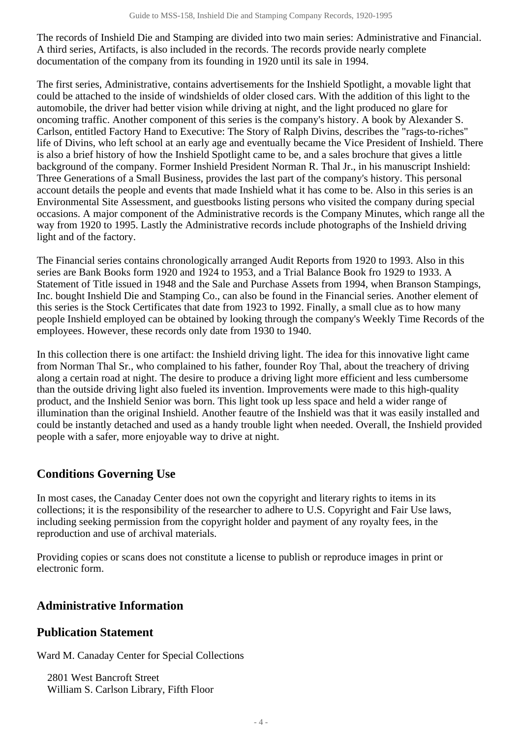The records of Inshield Die and Stamping are divided into two main series: Administrative and Financial. A third series, Artifacts, is also included in the records. The records provide nearly complete documentation of the company from its founding in 1920 until its sale in 1994.

The first series, Administrative, contains advertisements for the Inshield Spotlight, a movable light that could be attached to the inside of windshields of older closed cars. With the addition of this light to the automobile, the driver had better vision while driving at night, and the light produced no glare for oncoming traffic. Another component of this series is the company's history. A book by Alexander S. Carlson, entitled Factory Hand to Executive: The Story of Ralph Divins, describes the "rags-to-riches" life of Divins, who left school at an early age and eventually became the Vice President of Inshield. There is also a brief history of how the Inshield Spotlight came to be, and a sales brochure that gives a little background of the company. Former Inshield President Norman R. Thal Jr., in his manuscript Inshield: Three Generations of a Small Business, provides the last part of the company's history. This personal account details the people and events that made Inshield what it has come to be. Also in this series is an Environmental Site Assessment, and guestbooks listing persons who visited the company during special occasions. A major component of the Administrative records is the Company Minutes, which range all the way from 1920 to 1995. Lastly the Administrative records include photographs of the Inshield driving light and of the factory.

The Financial series contains chronologically arranged Audit Reports from 1920 to 1993. Also in this series are Bank Books form 1920 and 1924 to 1953, and a Trial Balance Book fro 1929 to 1933. A Statement of Title issued in 1948 and the Sale and Purchase Assets from 1994, when Branson Stampings, Inc. bought Inshield Die and Stamping Co., can also be found in the Financial series. Another element of this series is the Stock Certificates that date from 1923 to 1992. Finally, a small clue as to how many people Inshield employed can be obtained by looking through the company's Weekly Time Records of the employees. However, these records only date from 1930 to 1940.

In this collection there is one artifact: the Inshield driving light. The idea for this innovative light came from Norman Thal Sr., who complained to his father, founder Roy Thal, about the treachery of driving along a certain road at night. The desire to produce a driving light more efficient and less cumbersome than the outside driving light also fueled its invention. Improvements were made to this high-quality product, and the Inshield Senior was born. This light took up less space and held a wider range of illumination than the original Inshield. Another feautre of the Inshield was that it was easily installed and could be instantly detached and used as a handy trouble light when needed. Overall, the Inshield provided people with a safer, more enjoyable way to drive at night.

## <span id="page-3-0"></span>**Conditions Governing Use**

In most cases, the Canaday Center does not own the copyright and literary rights to items in its collections; it is the responsibility of the researcher to adhere to U.S. Copyright and Fair Use laws, including seeking permission from the copyright holder and payment of any royalty fees, in the reproduction and use of archival materials.

Providing copies or scans does not constitute a license to publish or reproduce images in print or electronic form.

## <span id="page-3-1"></span>**Administrative Information**

#### **Publication Statement**

Ward M. Canaday Center for Special Collections

2801 West Bancroft Street William S. Carlson Library, Fifth Floor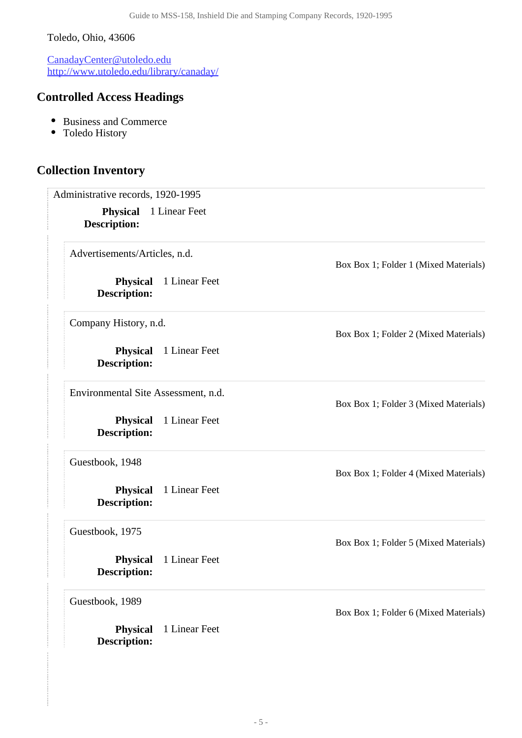#### Toledo, Ohio, 43606

CanadayCenter@utoledo.edu <http://www.utoledo.edu/library/canaday/>

# **Controlled Access Headings**

- Business and Commerce
- Toledo History

#### <span id="page-4-1"></span><span id="page-4-0"></span>**Collection Inventory**

Administrative records, 1920-1995

**Physical** 1 Linear Feet **Description:**

Advertisements/Articles, n.d.

**Physical** 1 Linear Feet **Description:**

Company History, n.d.

**Physical** 1 Linear Feet **Description:**

Environmental Site Assessment, n.d.

**Physical** 1 Linear Feet **Description:**

Guestbook, 1948

**Physical** 1 Linear Feet **Description:**

Guestbook, 1975

**Physical** 1 Linear Feet **Description:**

Guestbook, 1989

**Physical** 1 Linear Feet **Description:**

Box Box 1; Folder 1 (Mixed Materials)

Box Box 1; Folder 2 (Mixed Materials)

Box Box 1; Folder 3 (Mixed Materials)

Box Box 1; Folder 4 (Mixed Materials)

Box Box 1; Folder 5 (Mixed Materials)

Box Box 1; Folder 6 (Mixed Materials)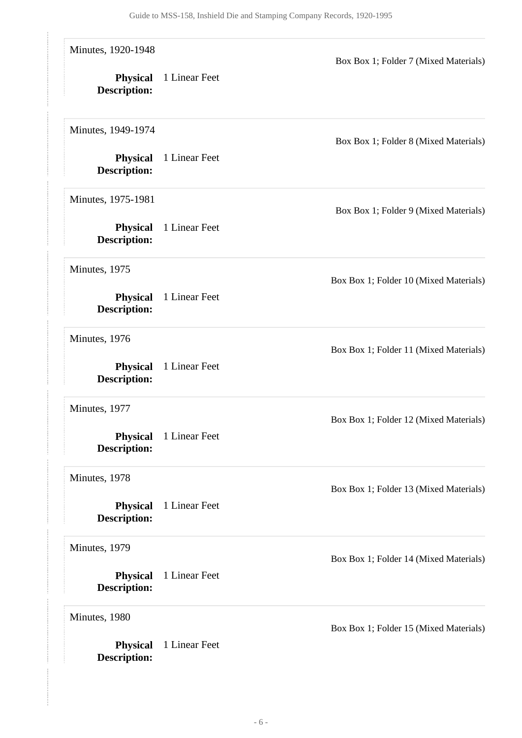| Minutes, 1920-1948<br><b>Physical</b><br><b>Description:</b> | 1 Linear Feet | Box Box 1; Folder 7 (Mixed Materials)  |
|--------------------------------------------------------------|---------------|----------------------------------------|
| Minutes, 1949-1974<br><b>Physical</b>                        | 1 Linear Feet | Box Box 1; Folder 8 (Mixed Materials)  |
| <b>Description:</b><br>Minutes, 1975-1981                    |               |                                        |
| <b>Physical</b><br><b>Description:</b>                       | 1 Linear Feet | Box Box 1; Folder 9 (Mixed Materials)  |
| Minutes, 1975<br><b>Physical</b>                             | 1 Linear Feet | Box Box 1; Folder 10 (Mixed Materials) |
| <b>Description:</b><br>Minutes, 1976                         |               |                                        |
| <b>Physical</b><br><b>Description:</b>                       | 1 Linear Feet | Box Box 1; Folder 11 (Mixed Materials) |
| Minutes, 1977<br><b>Physical</b>                             | 1 Linear Feet | Box Box 1; Folder 12 (Mixed Materials) |
| <b>Description:</b><br>Minutes, 1978                         |               | Box Box 1; Folder 13 (Mixed Materials) |
| <b>Physical</b><br><b>Description:</b>                       | 1 Linear Feet |                                        |
| Minutes, 1979<br><b>Physical</b><br><b>Description:</b>      | 1 Linear Feet | Box Box 1; Folder 14 (Mixed Materials) |
| Minutes, 1980<br><b>Physical</b>                             | 1 Linear Feet | Box Box 1; Folder 15 (Mixed Materials) |
| Description:                                                 |               |                                        |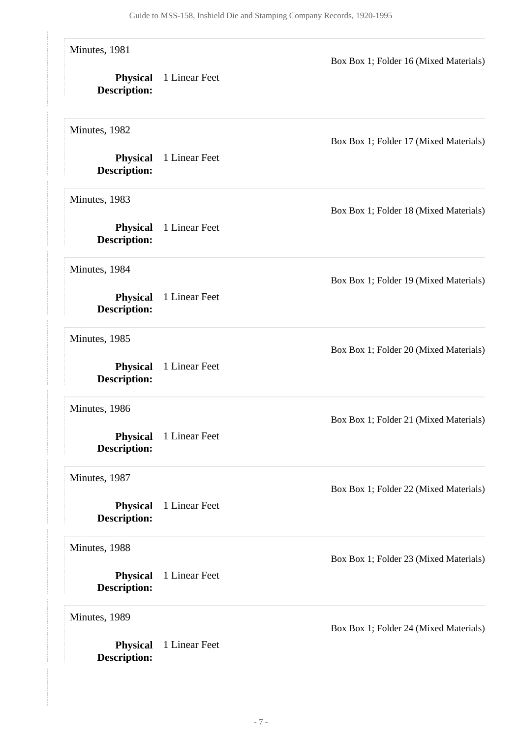| Minutes, 1981<br><b>Physical</b><br><b>Description:</b> | 1 Linear Feet | Box Box 1; Folder 16 (Mixed Materials) |
|---------------------------------------------------------|---------------|----------------------------------------|
| Minutes, 1982<br><b>Physical</b><br><b>Description:</b> | 1 Linear Feet | Box Box 1; Folder 17 (Mixed Materials) |
| Minutes, 1983<br><b>Physical</b><br><b>Description:</b> | 1 Linear Feet | Box Box 1; Folder 18 (Mixed Materials) |
| Minutes, 1984<br><b>Physical</b><br><b>Description:</b> | 1 Linear Feet | Box Box 1; Folder 19 (Mixed Materials) |
| Minutes, 1985<br><b>Physical</b><br>Description:        | 1 Linear Feet | Box Box 1; Folder 20 (Mixed Materials) |
| Minutes, 1986<br><b>Physical</b><br><b>Description:</b> | 1 Linear Feet | Box Box 1; Folder 21 (Mixed Materials) |
| Minutes, 1987<br><b>Physical</b><br>Description:        | 1 Linear Feet | Box Box 1; Folder 22 (Mixed Materials) |
| Minutes, 1988<br><b>Physical</b><br><b>Description:</b> | 1 Linear Feet | Box Box 1; Folder 23 (Mixed Materials) |
| Minutes, 1989<br><b>Physical</b><br><b>Description:</b> | 1 Linear Feet | Box Box 1; Folder 24 (Mixed Materials) |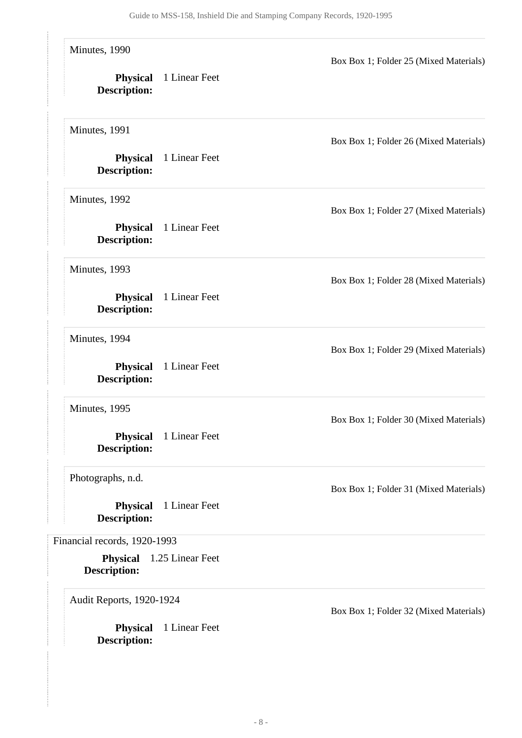<span id="page-7-0"></span>

| Minutes, 1990<br><b>Physical</b><br><b>Description:</b>                                                          | 1 Linear Feet                     | Box Box 1; Folder 25 (Mixed Materials) |
|------------------------------------------------------------------------------------------------------------------|-----------------------------------|----------------------------------------|
| Minutes, 1991<br><b>Physical</b><br><b>Description:</b>                                                          | 1 Linear Feet                     | Box Box 1; Folder 26 (Mixed Materials) |
| Minutes, 1992<br><b>Physical</b><br><b>Description:</b>                                                          | 1 Linear Feet                     | Box Box 1; Folder 27 (Mixed Materials) |
| Minutes, 1993<br><b>Physical</b><br><b>Description:</b>                                                          | 1 Linear Feet                     | Box Box 1; Folder 28 (Mixed Materials) |
| Minutes, 1994<br><b>Physical</b>                                                                                 | 1 Linear Feet                     | Box Box 1; Folder 29 (Mixed Materials) |
| <b>Description:</b><br>Minutes, 1995<br><b>Physical</b>                                                          | 1 Linear Feet                     | Box Box 1; Folder 30 (Mixed Materials) |
| <b>Description:</b><br>Photographs, n.d.                                                                         |                                   | Box Box 1; Folder 31 (Mixed Materials) |
| <b>Physical</b><br><b>Description:</b><br>Financial records, 1920-1993<br><b>Physical</b><br><b>Description:</b> | 1 Linear Feet<br>1.25 Linear Feet |                                        |
| Audit Reports, 1920-1924<br><b>Physical</b><br><b>Description:</b>                                               | 1 Linear Feet                     | Box Box 1; Folder 32 (Mixed Materials) |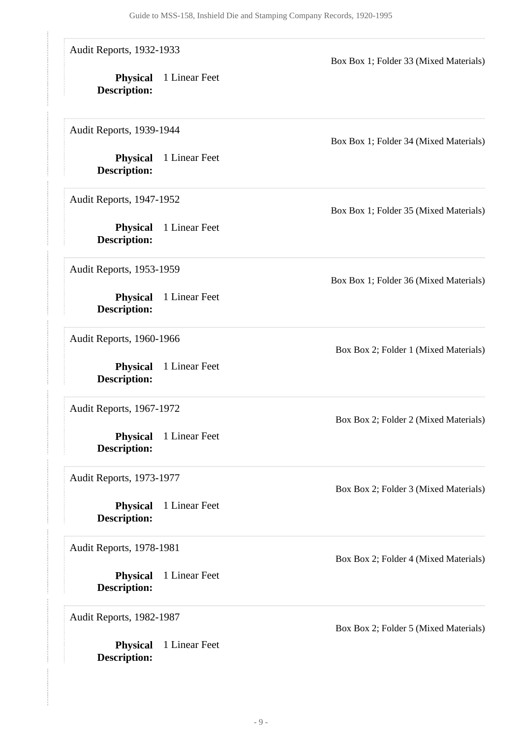Audit Reports, 1932-1933

**Physical** 1 Linear Feet **Description:**

Audit Reports, 1939-1944

**Physical** 1 Linear Feet **Description:**

Audit Reports, 1947-1952

**Physical** 1 Linear Feet **Description:**

Audit Reports, 1953-1959

**Physical** 1 Linear Feet **Description:**

Audit Reports, 1960-1966

**Physical** 1 Linear Feet **Description:**

Audit Reports, 1967-1972

**Physical** 1 Linear Feet **Description:**

Audit Reports, 1973-1977

**Physical** 1 Linear Feet **Description:**

Audit Reports, 1978-1981

**Physical** 1 Linear Feet **Description:**

Audit Reports, 1982-1987

**Physical** 1 Linear Feet **Description:**

Box Box 1; Folder 34 (Mixed Materials)

Box Box 1; Folder 33 (Mixed Materials)

Box Box 1; Folder 35 (Mixed Materials)

Box Box 1; Folder 36 (Mixed Materials)

Box Box 2; Folder 1 (Mixed Materials)

Box Box 2; Folder 2 (Mixed Materials)

Box Box 2; Folder 3 (Mixed Materials)

Box Box 2; Folder 4 (Mixed Materials)

Box Box 2; Folder 5 (Mixed Materials)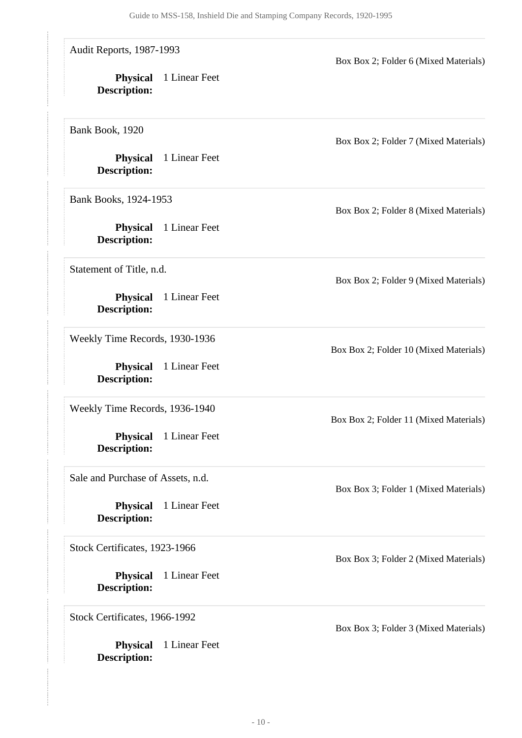Audit Reports, 1987-1993

**Physical** 1 Linear Feet **Description:**

Bank Book, 1920

**Physical** 1 Linear Feet **Description:**

Bank Books, 1924-1953

**Physical** 1 Linear Feet **Description:**

Statement of Title, n.d.

**Physical** 1 Linear Feet **Description:**

Weekly Time Records, 1930-1936

**Physical** 1 Linear Feet **Description:**

Weekly Time Records, 1936-1940

**Physical** 1 Linear Feet **Description:**

Sale and Purchase of Assets, n.d.

**Physical** 1 Linear Feet **Description:**

Stock Certificates, 1923-1966

**Physical** 1 Linear Feet **Description:**

Stock Certificates, 1966-1992

**Physical** 1 Linear Feet **Description:**

Box Box 2; Folder 7 (Mixed Materials)

Box Box 2; Folder 6 (Mixed Materials)

Box Box 2; Folder 8 (Mixed Materials)

Box Box 2; Folder 9 (Mixed Materials)

Box Box 2; Folder 10 (Mixed Materials)

Box Box 2; Folder 11 (Mixed Materials)

Box Box 3; Folder 1 (Mixed Materials)

Box Box 3; Folder 2 (Mixed Materials)

Box Box 3; Folder 3 (Mixed Materials)